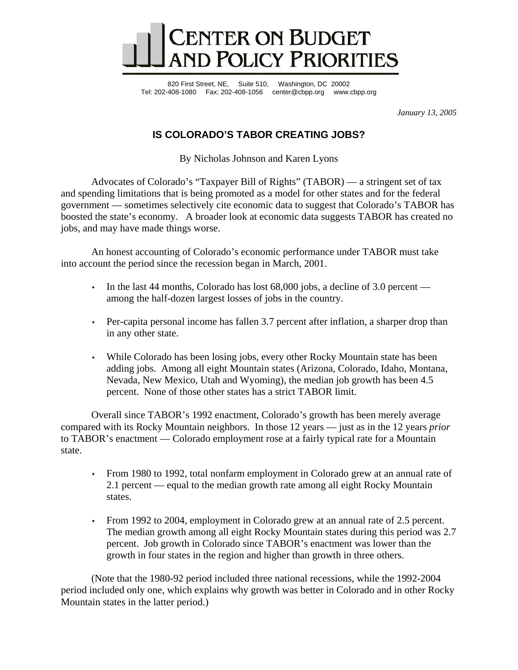

820 First Street, NE, Suite 510, Washington, DC 20002 Tel: 202-408-1080 Fax: 202-408-1056 center@cbpp.org www.cbpp.org

*January 13, 2005* 

## **IS COLORADO'S TABOR CREATING JOBS?**

By Nicholas Johnson and Karen Lyons

 Advocates of Colorado's "Taxpayer Bill of Rights" (TABOR) — a stringent set of tax and spending limitations that is being promoted as a model for other states and for the federal government — sometimes selectively cite economic data to suggest that Colorado's TABOR has boosted the state's economy. A broader look at economic data suggests TABOR has created no jobs, and may have made things worse.

 An honest accounting of Colorado's economic performance under TABOR must take into account the period since the recession began in March, 2001.

- In the last 44 months, Colorado has lost 68,000 jobs, a decline of 3.0 percent among the half-dozen largest losses of jobs in the country.
- Per-capita personal income has fallen 3.7 percent after inflation, a sharper drop than in any other state.
- While Colorado has been losing jobs, every other Rocky Mountain state has been adding jobs. Among all eight Mountain states (Arizona, Colorado, Idaho, Montana, Nevada, New Mexico, Utah and Wyoming), the median job growth has been 4.5 percent. None of those other states has a strict TABOR limit.

 Overall since TABOR's 1992 enactment, Colorado's growth has been merely average compared with its Rocky Mountain neighbors. In those 12 years — just as in the 12 years *prior* to TABOR's enactment — Colorado employment rose at a fairly typical rate for a Mountain state.

- From 1980 to 1992, total nonfarm employment in Colorado grew at an annual rate of 2.1 percent — equal to the median growth rate among all eight Rocky Mountain states.
- From 1992 to 2004, employment in Colorado grew at an annual rate of 2.5 percent. The median growth among all eight Rocky Mountain states during this period was 2.7 percent. Job growth in Colorado since TABOR's enactment was lower than the growth in four states in the region and higher than growth in three others.

 (Note that the 1980-92 period included three national recessions, while the 1992-2004 period included only one, which explains why growth was better in Colorado and in other Rocky Mountain states in the latter period.)